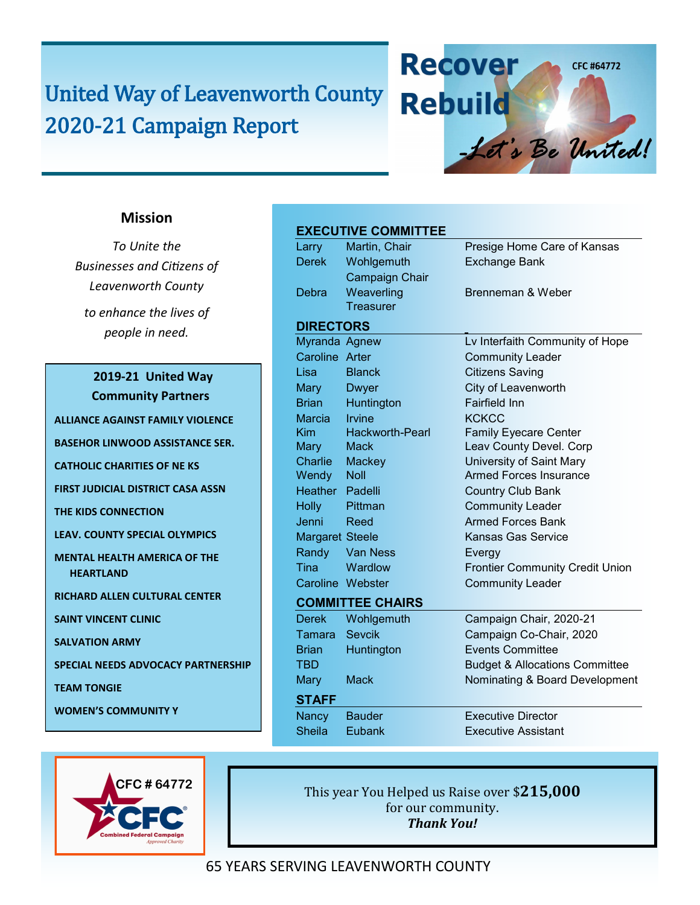# United Way of Leavenworth County 2020-21 Campaign Report

### **EXECUTIVE COMMITTEE**

|                        | EAEVUTIVE VUMINITTEE    |                                           |
|------------------------|-------------------------|-------------------------------------------|
| Larry                  | Martin, Chair           | Presige Home Care of Kansas               |
| <b>Derek</b>           | Wohlgemuth              | <b>Exchange Bank</b>                      |
|                        | <b>Campaign Chair</b>   |                                           |
| Debra                  | Weaverling              | Brenneman & Weber                         |
|                        | <b>Treasurer</b>        |                                           |
| <b>DIRECTORS</b>       |                         |                                           |
| Myranda Agnew          |                         | Lv Interfaith Community of Hope           |
| Caroline Arter         |                         | <b>Community Leader</b>                   |
| Lisa                   | <b>Blanck</b>           | <b>Citizens Saving</b>                    |
| Mary                   | Dwyer                   | City of Leavenworth                       |
| <b>Brian</b>           | Huntington              | <b>Fairfield Inn</b>                      |
| Marcia                 | <b>Irvine</b>           | <b>KCKCC</b>                              |
| Kim                    | <b>Hackworth-Pearl</b>  | <b>Family Eyecare Center</b>              |
| Mary 1                 | Mack                    | Leav County Devel. Corp                   |
|                        | Charlie Mackey          | University of Saint Mary                  |
| Wendy                  | Noll                    | <b>Armed Forces Insurance</b>             |
| Heather Padelli        |                         | <b>Country Club Bank</b>                  |
| <b>Holly</b>           | Pittman                 | <b>Community Leader</b>                   |
| Jenni                  | Reed                    | <b>Armed Forces Bank</b>                  |
| <b>Margaret Steele</b> |                         | <b>Kansas Gas Service</b>                 |
| Randy                  | <b>Van Ness</b>         | Evergy                                    |
| <b>Tina</b>            | Wardlow                 | <b>Frontier Community Credit Union</b>    |
|                        | Caroline Webster        | <b>Community Leader</b>                   |
|                        | <b>COMMITTEE CHAIRS</b> |                                           |
| <b>Derek</b>           | Wohlgemuth              | Campaign Chair, 2020-21                   |
| Tamara                 | <b>Sevcik</b>           | Campaign Co-Chair, 2020                   |
| <b>Brian</b>           | Huntington              | <b>Events Committee</b>                   |
| <b>TBD</b>             |                         | <b>Budget &amp; Allocations Committee</b> |
| <b>Mary</b>            | <b>Mack</b>             | Nominating & Board Development            |
| <b>STAFF</b>           |                         |                                           |
| Nancy                  | <b>Bauder</b>           | <b>Executive Director</b>                 |
| <b>Sheila</b>          | Eubank                  | <b>Executive Assistant</b>                |
|                        |                         |                                           |

**Recover** 

**Rebuild** 

CFC #64772

- Let's Be United!

**CFC # 64772**

This year You Helped us Raise over \$**215,000** for our community. *Thank You!*

### 65 YEARS SERVING LEAVENWORTH COUNTY

### **Mission**

*To Unite the Businesses and Citizens of Leavenworth County to enhance the lives of people in need.*

#### **2019-21 United Way Community Partners**

**ALLIANCE AGAINST FAMILY VIOLENCE**

**BASEHOR LINWOOD ASSISTANCE SER.**

**CATHOLIC CHARITIES OF NE KS**

**FIRST JUDICIAL DISTRICT CASA ASSN** 

**THE KIDS CONNECTION** 

**LEAV. COUNTY SPECIAL OLYMPICS**

**MENTAL HEALTH AMERICA OF THE HEARTLAND** 

**RICHARD ALLEN CULTURAL CENTER** 

**SAINT VINCENT CLINIC**

**SALVATION ARMY**

**SPECIAL NEEDS ADVOCACY PARTNERSHIP**

**TEAM TONGIE** 

**WOMEN'S COMMUNITY Y**